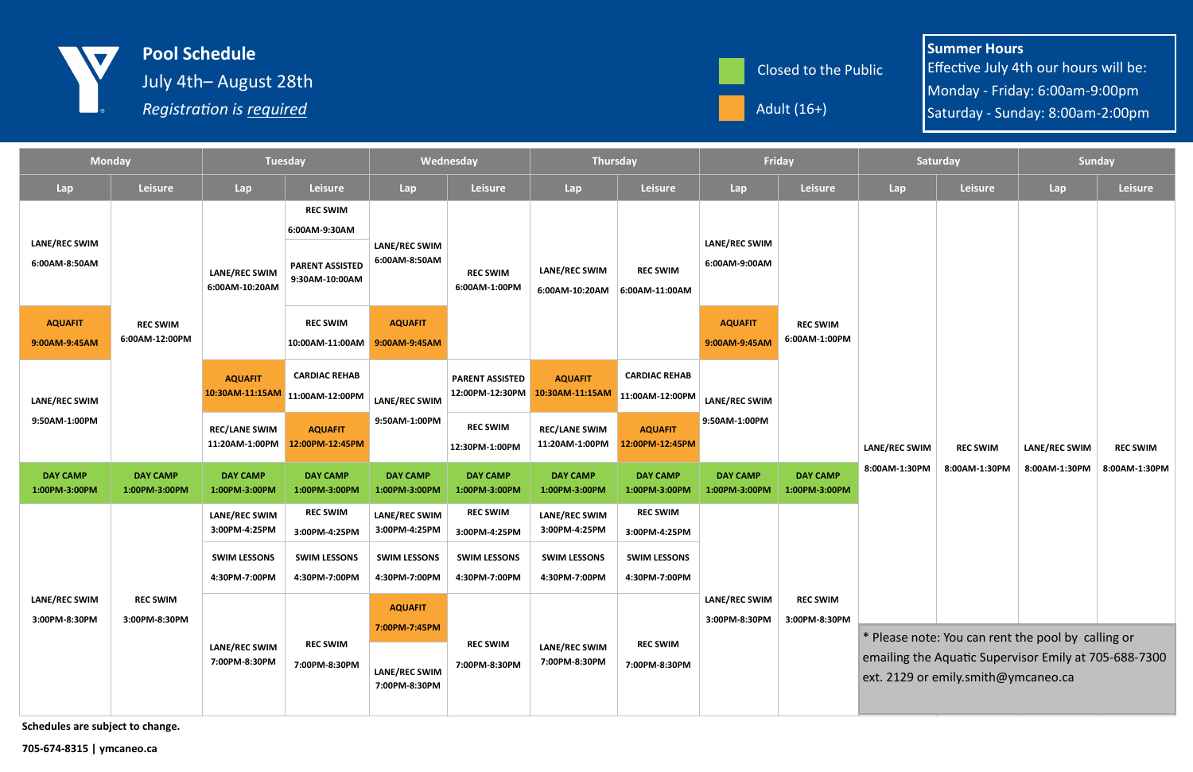| <b>Monday</b>                         |                                   | <b>Tuesday</b>                                    |                                                                              | Wednesday                                                         |                                           | <b>Thursday</b>                        |                                         | Friday                           |                                  | Saturday                                                                                                                                           |                 | <b>Sunday</b> |                 |
|---------------------------------------|-----------------------------------|---------------------------------------------------|------------------------------------------------------------------------------|-------------------------------------------------------------------|-------------------------------------------|----------------------------------------|-----------------------------------------|----------------------------------|----------------------------------|----------------------------------------------------------------------------------------------------------------------------------------------------|-----------------|---------------|-----------------|
| Lap                                   | <b>Leisure</b>                    | Lap                                               | <b>Leisure</b>                                                               | Lap                                                               | Leisure                                   | Lap                                    | Leisure                                 | Lap                              | Leisure                          | Lap                                                                                                                                                | <b>Leisure</b>  | Lap           | <b>Leisure</b>  |
| LANE/REC SWIM<br>6:00AM-8:50AM        | <b>REC SWIM</b><br>6:00AM-12:00PM | <b>LANE/REC SWIM</b><br>6:00AM-10:20AM            | <b>REC SWIM</b><br>6:00AM-9:30AM<br><b>PARENT ASSISTED</b><br>9:30AM-10:00AM | <b>LANE/REC SWIM</b><br>6:00AM-8:50AM                             | <b>REC SWIM</b><br>6:00AM-1:00PM          | <b>LANE/REC SWIM</b><br>6:00AM-10:20AM | <b>REC SWIM</b><br>$6:00AM-11:00AM$     | LANE/REC SWIM<br>6:00AM-9:00AM   |                                  |                                                                                                                                                    |                 | LANE/REC SWIM | <b>REC SWIM</b> |
| <b>AQUAFIT</b><br>9:00AM-9:45AM       |                                   |                                                   | <b>REC SWIM</b><br>10:00AM-11:00AM 9:00AM-9:45AM                             | <b>AQUAFIT</b>                                                    |                                           |                                        |                                         | <b>AQUAFIT</b><br>9:00AM-9:45AM  | <b>REC SWIM</b><br>6:00AM-1:00PM |                                                                                                                                                    |                 |               |                 |
| LANE/REC SWIM<br>9:50AM-1:00PM        |                                   | <b>AQUAFIT</b><br>10:30AM-11:15AM 11:00AM-12:00PM | <b>CARDIAC REHAB</b>                                                         | LANE/REC SWIM<br>9:50AM-1:00PM                                    | <b>PARENT ASSISTED</b><br>12:00PM-12:30PM | <b>AQUAFIT</b><br>10:30AM-11:15AM      | <b>CARDIAC REHAB</b><br>11:00AM-12:00PM | LANE/REC SWIM<br>9:50AM-1:00PM   |                                  | LANE/REC SWIM                                                                                                                                      | <b>REC SWIM</b> |               |                 |
|                                       |                                   | <b>REC/LANE SWIM</b><br>11:20AM-1:00PM            | <b>AQUAFIT</b><br>12:00PM-12:45PM                                            |                                                                   | <b>REC SWIM</b><br>12:30PM-1:00PM         | <b>REC/LANE SWIM</b><br>11:20AM-1:00PM | <b>AQUAFIT</b><br>12:00PM-12:45PM       |                                  |                                  |                                                                                                                                                    |                 |               |                 |
| <b>DAY CAMP</b><br>1:00PM-3:00PM      | <b>DAY CAMP</b><br>1:00PM-3:00PM  | <b>DAY CAMP</b><br>1:00PM-3:00PM                  | <b>DAY CAMP</b><br>1:00PM-3:00PM                                             | <b>DAY CAMP</b><br>1:00PM-3:00PM                                  | <b>DAY CAMP</b><br>1:00PM-3:00PM          | <b>DAY CAMP</b><br>1:00PM-3:00PM       | <b>DAY CAMP</b><br>1:00PM-3:00PM        | <b>DAY CAMP</b><br>1:00PM-3:00PM | <b>DAY CAMP</b><br>1:00PM-3:00PM | 8:00AM-1:30PM                                                                                                                                      | 8:00AM-1:30PM   | 8:00AM-1:30PM | 8:00AM-1:30PM   |
| <b>LANE/REC SWIM</b><br>3:00PM-8:30PM | <b>REC SWIM</b><br>3:00PM-8:30PM  | <b>LANE/REC SWIM</b><br>3:00PM-4:25PM             | <b>REC SWIM</b><br>3:00PM-4:25PM                                             | LANE/REC SWIM<br>3:00PM-4:25PM                                    | <b>REC SWIM</b><br>3:00PM-4:25PM          | LANE/REC SWIM<br>3:00PM-4:25PM         | <b>REC SWIM</b><br>3:00PM-4:25PM        | LANE/REC SWIM<br>3:00PM-8:30PM   | <b>REC SWIM</b><br>3:00PM-8:30PM |                                                                                                                                                    |                 |               |                 |
|                                       |                                   | <b>SWIM LESSONS</b><br>4:30PM-7:00PM              | <b>SWIM LESSONS</b><br>4:30PM-7:00PM                                         | <b>SWIM LESSONS</b><br>4:30PM-7:00PM                              | <b>SWIM LESSONS</b><br>4:30PM-7:00PM      | <b>SWIM LESSONS</b><br>4:30PM-7:00PM   | <b>SWIM LESSONS</b><br>4:30PM-7:00PM    |                                  |                                  |                                                                                                                                                    |                 |               |                 |
|                                       |                                   | <b>LANE/REC SWIM</b><br>7:00PM-8:30PM             | <b>REC SWIM</b><br>7:00PM-8:30PM                                             | <b>AQUAFIT</b><br>7:00PM-7:45PM<br>LANE/REC SWIM<br>7:00PM-8:30PM | <b>REC SWIM</b><br>7:00PM-8:30PM          | LANE/REC SWIM<br>7:00PM-8:30PM         | <b>REC SWIM</b><br>7:00PM-8:30PM        |                                  |                                  | * Please note: You can rent the pool by calling or<br>emailing the Aquatic Supervisor Emily at 705-688-7300<br>ext. 2129 or emily.smith@ymcaneo.ca |                 |               |                 |





Schedules are subject to change.

705-674-8315 | ymcaneo.ca

Summer Hours Effective July 4th our hours will be: Monday - Friday: 6:00am-9:00pm Saturday - Sunday: 8:00am-2:00pm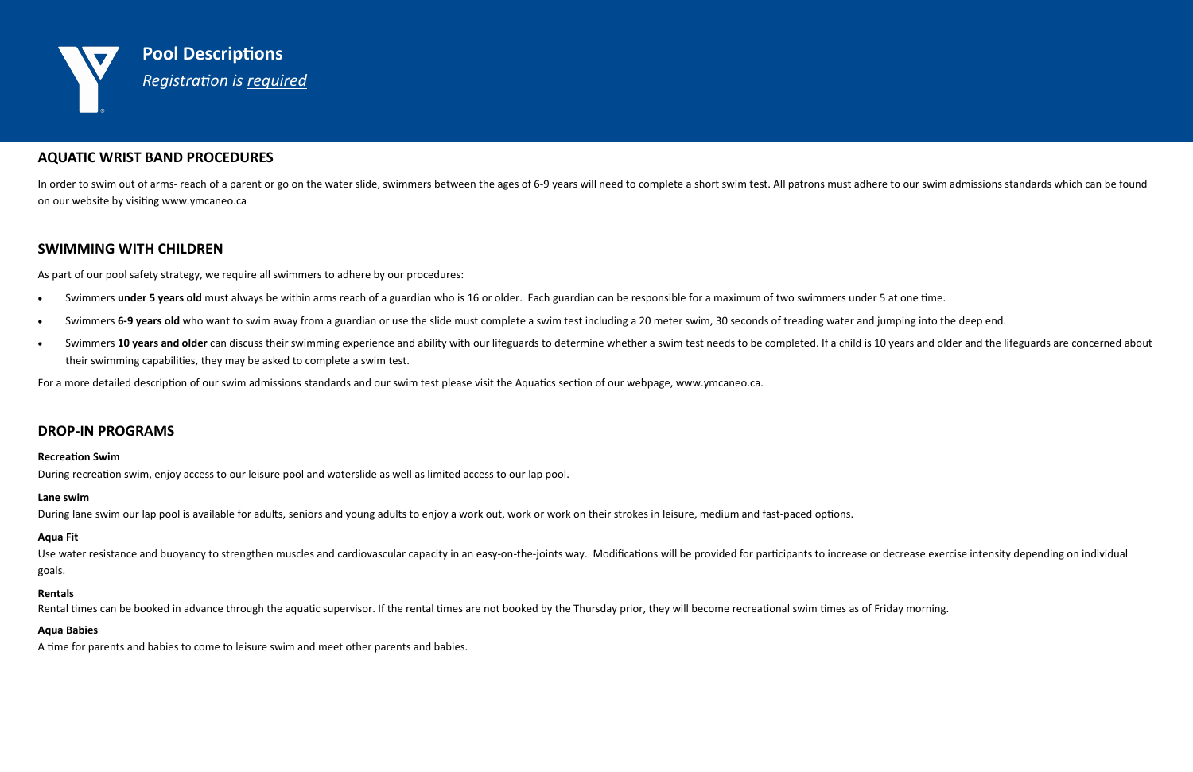

## AQUATIC WRIST BAND PROCEDURES

In order to swim out of arms- reach of a parent or go on the water slide, swimmers between the ages of 6-9 years will need to complete a short swim test. All patrons must adhere to our swim admissions standards which can b on our website by visiting www.ymcaneo.ca

# SWIMMING WITH CHILDREN

As part of our pool safety strategy, we require all swimmers to adhere by our procedures:

- Swimmers under 5 years old must always be within arms reach of a guardian who is 16 or older. Each guardian can be responsible for a maximum of two swimmers under 5 at one time.
- Swimmers 6-9 years old who want to swim away from a guardian or use the slide must complete a swim test including a 20 meter swim, 30 seconds of treading water and jumping into the deep end.
- Swimmers 10 years and older can discuss their swimming experience and ability with our lifeguards to determine whether a swim test needs to be completed. If a child is 10 years and older and the lifeguards are concerned ab their swimming capabilities, they may be asked to complete a swim test.

For a more detailed description of our swim admissions standards and our swim test please visit the Aquatics section of our webpage, www.ymcaneo.ca.

Use water resistance and buoyancy to strengthen muscles and cardiovascular capacity in an easy-on-the-joints way. Modifications will be provided for participants to increase or decrease exercise intensity depending on indi goals.

### DROP-IN PROGRAMS

### **Recreation Swim**

During recreation swim, enjoy access to our leisure pool and waterslide as well as limited access to our lap pool.

### Lane swim

During lane swim our lap pool is available for adults, seniors and young adults to enjoy a work out, work or work on their strokes in leisure, medium and fast-paced options.

### Aqua Fit

### Rentals

Rental times can be booked in advance through the aquatic supervisor. If the rental times are not booked by the Thursday prior, they will become recreational swim times as of Friday morning.

### Aqua Babies

A time for parents and babies to come to leisure swim and meet other parents and babies.